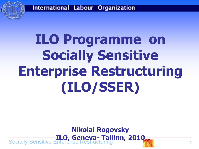

# **ILO Programme on Socially Sensitive Enterprise Restructuring (ILO/SSER)**

#### Socially Sensitive Enterprise Restructuring 1 **Nikolai Rogovsky ILO, Geneva- Tallinn, 2010**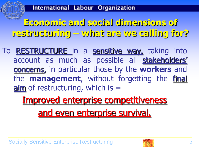**Economic and social dimensions of restructuring – what are we calling for?**

To **RESTRUCTURE** in a sensitive way, taking into account as much as possible all stakeholders' concerns, in particular those by the **workers** and the **management**, without forgetting the final  $\sin$  of restructuring, which is  $=$ 

> Improved enterprise competitiveness and even enterprise survival.

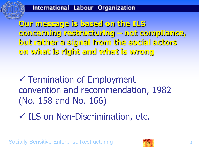**Our message is based on the ILS concerning restructuring – not compliance, but rather a signal from the social actors on what is right and what is wrong**

 $\checkmark$  Termination of Employment convention and recommendation, 1982 (No. 158 and No. 166)

 $\checkmark$  ILS on Non-Discrimination, etc.

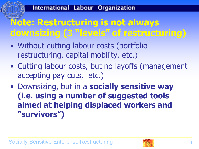# **Note: Restructuring is not always downsizing (3 "levels" of restructuring)**

- Without cutting labour costs (portfolio restructuring, capital mobility, etc.)
- Cutting labour costs, but no layoffs (management accepting pay cuts, etc.)
- Downsizing, but in a **socially sensitive way (i.e. using a number of suggested tools aimed at helping displaced workers and "survivors")**

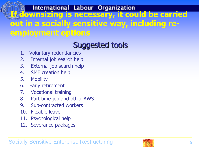**In Million International Labour Organization**<br>Hollownsizing is necessary, it could be carried **out in a socially sensitive way, including reemployment options**

## Suggested tools

- 1. Voluntary redundancies
- 2. Internal job search help
- 3. External job search help
- 4. SME creation help
- 5. Mobility
- 6. Early retirement
- 7. Vocational training
- 8. Part time job and other AWS
- 9. Sub-contracted workers
- 10. Flexible leave
- 11. Psychological help
- 12. Severance packages

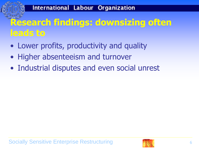# **Research findings: downsizing often leads to**

- Lower profits, productivity and quality
- Higher absenteeism and turnover
- Industrial disputes and even social unrest

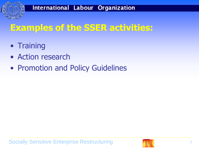

## **Examples of the SSER activities:**

- Training
- Action research
- Promotion and Policy Guidelines

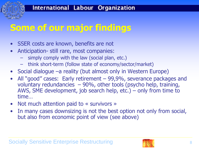# **Some of our major findings**

- SSER costs are known, benefits are not
- Anticipation- still rare, most companies:
	- simply comply with the law (social plan, etc.)
	- think short-term (follow state of economy/sector/market)
- Social dialogue –a reality (but almost only in Western Europe)
- All "good" cases: Early retirement 99,9%, severance packages and voluntary redundancies – 90%, other tools (psycho help, training, AWS, SME development, job search help, etc.) – only from time to time…
- Not much attention paid to  $\ll$  survivors  $\gg$
- In many cases downsizing is not the best option not only from social, but also from economic point of view (see above)

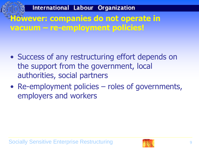### International Labour Organization **However: companies do not operate in vacuum – re-employment policies!**

- Success of any restructuring effort depends on the support from the government, local authorities, social partners
- Re-employment policies roles of governments, employers and workers

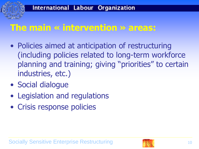### **The main « intervention » areas:**

- Policies aimed at anticipation of restructuring (including policies related to long-term workforce planning and training; giving "priorities" to certain industries, etc.)
- Social dialogue
- Legislation and regulations
- Crisis response policies